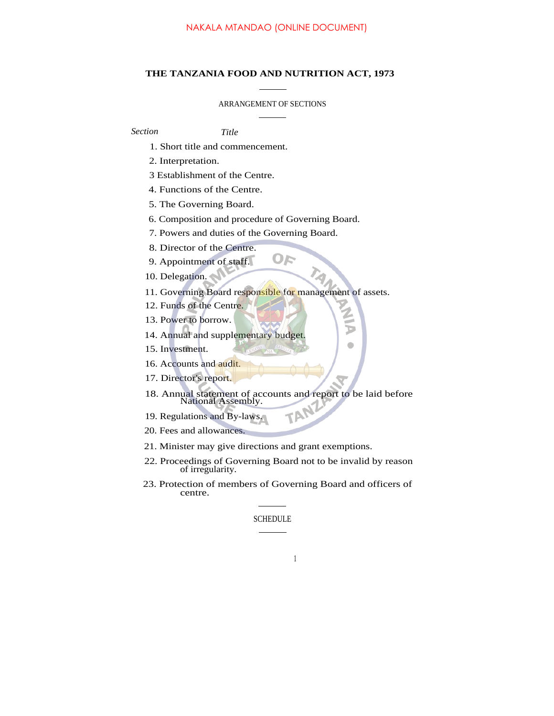## **THE TANZANIA FOOD AND NUTRITION ACT, 1973**

### ARRANGEMENT OF SECTIONS

*Section Title*

- 1. Short title and commencement.
- 2. Interpretation.
- 3 Establishment of the Centre.
- 4. Functions of the Centre.
- 5. The Governing Board.
- 6. Composition and procedure of Governing Board.
- 7. Powers and duties of the Governing Board.
- 8. Director of the Centre.
- 9. Appointment of staff.
- 10. Delegation.
- 11. Governing Board responsible for management of assets.

OF

- 12. Funds of the Centre.
- 13. Power to borrow.
- 14. Annual and supplementary budget.
- 15. Investment.
- 16. Accounts and audit.
- 17. Director's report.
- 18. Annual statement of accounts and report to be laid before National Assembly. TAN

0

- 19. Regulations and By-laws.
- 20. Fees and allowances.
- 21. Minister may give directions and grant exemptions.
- 22. Proceedings of Governing Board not to be invalid by reason of irregularity.
- 23. Protection of members of Governing Board and officers of centre.

1

### SCHEDULE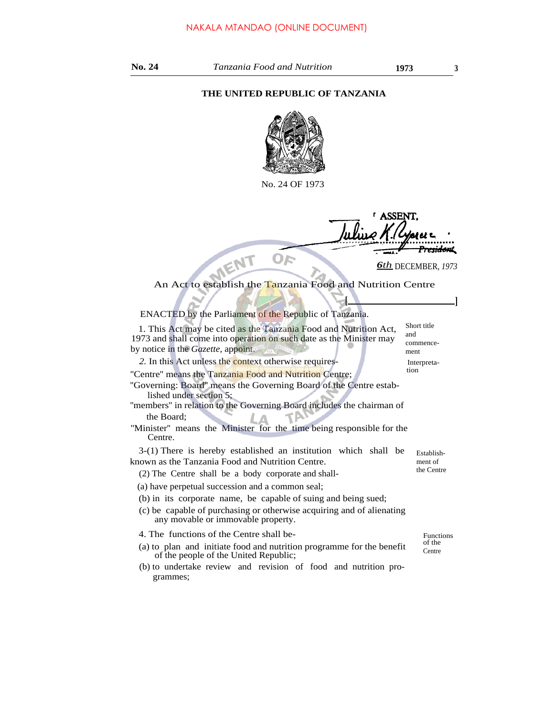## **THE UNITED REPUBLIC OF TANZANIA**



No. 24 OF 1973

**ACCET** <del>esidon</del>t

*6th* DECEMBER, *<sup>1973</sup>*

**[ ]**

# An Act to establish the Tanzania Food and Nutrition Centre

ENACTED by the Parliament of the Republic of Tanzania.

1. This Act may be cited as the Tanzania Food and Nutrition Act, 1973 and shall come into operation on such date as the Minister may by notice in the *Gazette,* appoint.

2. In this Act unless the context otherwise requires- Interpreta-

"Centre" means the Tanzania Food and Nutrition Centre;

''Governing: Board'' means the Governing Board of the Centre established under section 5;

- ''members'' in relation to the Governing Board includes the chairman of the Board;
- "Minister" means the Minister for the time being responsible for the Centre.

3-(1) There is hereby established an institution which shall be known as the Tanzania Food and Nutrition Centre.

- (2) The Centre shall be a body corporate and shall-
- (a) have perpetual succession and a common seal;
- (b) in its corporate name, be capable of suing and being sued;
- (c) be capable of purchasing or otherwise acquiring and of alienating any movable or immovable property.
- 4. The functions of the Centre shall be- Functions
- (a) to plan and initiate food and nutrition programme for the benefit  $\frac{du}{L}$ of the people of the United Republic;
- (b) to undertake review and revision of food and nutrition programmes;

commencement

Short title and

the Centre

Establishment of

of the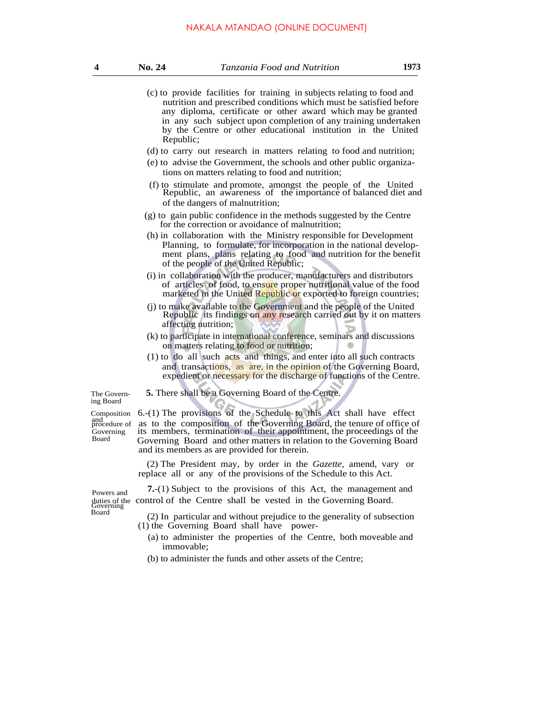### NAKALA MTANDAO (ONLINE DOCUMENT)

- (c) to provide facilities for training in subjects relating to food and nutrition and prescribed conditions which must be satisfied before any diploma, certificate or other award which may be granted in any such subject upon completion of any training undertaken by the Centre or other educational institution in the United Republic;
- (d) to carry out research in matters relating to food and nutrition;
- (e) to advise the Government, the schools and other public organizations on matters relating to food and nutrition;
- (f) to stimulate and promote, amongst the people of the United Republic, an awareness of the importance of balanced diet and of the dangers of malnutrition;
- (g) to gain public confidence in the methods suggested by the Centre for the correction or avoidance of malnutrition;
- (h) in collaboration with the Ministry responsible for Development Planning, to formulate, for incorporation in the national development plans, plans relating to food and nutrition for the benefit of the people of the United Republic;
- (i) in collaboration with the producer, manufacturers and distributors of articles of food, to ensure proper nutritional value of the food marketed in the United Republic or exported to foreign countries;
- (j) to make available to the Government and the people of the United Republic its findings on any research carried out by it on matters affecting nutrition;
- (k) to participate in international conference, seminars and discussions on matters relating to food or nutrition;
- (1) to do all such acts and things, and enter into all such contracts and transactions, as are, in the opinion of the Governing Board, expedient or necessary for the discharge of functions of the Centre.

The Govern- **5.** There shall be a Governing Board of the Centre. ing Board

Composition 6.-(1) The provisions of the Schedule to this Act shall have effect and  $\frac{and}{procedure}$  of as to the composition of the Governing Board, the tenure of office of and<br>procedure of as to the composition of the Governing Board, the tenure of office of<br>Governing its members, termination of their appointment, the proceedings of the Governing its members, termination of their appointment, the proceedings of the Board<br>Board Governing Board and other matters in relation to the Governing Board Board Governing Board and other matters in relation to the Governing Board and its members as are provided for therein.

> (2) The President may, by order in the *Gazette,* amend, vary or replace all or any of the provisions of the Schedule to this Act.

**Powers and 7.**-(1) Subject to the provisions of this Act, the management and duties of the control of the Centre shall be vested in the Governing Board. Governing

Board (2) In particular and without prejudice to the generality of subsection (1) the Governing Board shall have power-

- (a) to administer the properties of the Centre, both moveable and immovable;
- (b) to administer the funds and other assets of the Centre;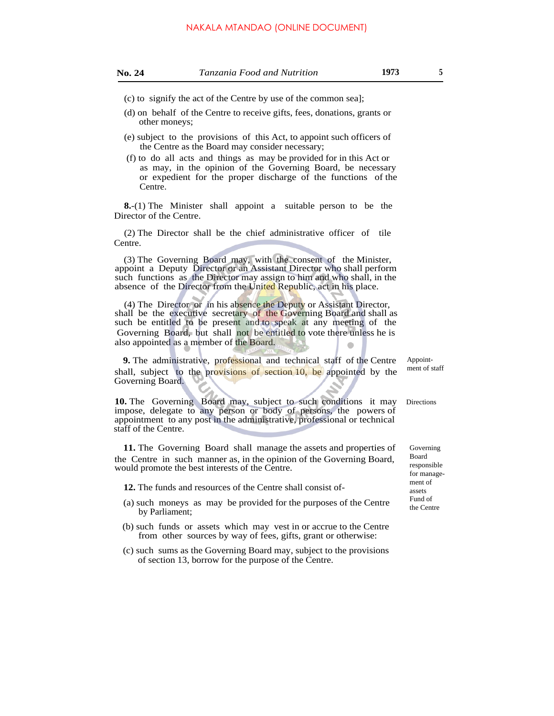- (c) to signify the act of the Centre by use of the common sea];
- (d) on behalf of the Centre to receive gifts, fees, donations, grants or other moneys;
- (e) subject to the provisions of this Act, to appoint such officers of the Centre as the Board may consider necessary;
- (f) to do all acts and things as may be provided for in this Act or as may, in the opinion of the Governing Board, be necessary or expedient for the proper discharge of the functions of the Centre.

**8.**-(1) The Minister shall appoint a suitable person to be the Director of the Centre.

(2) The Director shall be the chief administrative officer of tile Centre.

(3) The Governing Board may, with the consent of the Minister, appoint a Deputy Director or an Assistant Director who shall perform such functions as the Director may assign to him and who shall, in the absence of the Director from the United Republic, act in his place.

(4) The Director or in his absence the Deputy or Assistant Director, shall be the executive secretary of the Governing Board and shall as such be entitled to be present and to speak at any meeting of the Governing Board, but shall not be entitled to vote there unless he is also appointed as a member of the Board.

**9.** The administrative, professional and technical staff of the Centre shall, subject to the provisions of section 10, be appointed by the Governing Board.

**10.** The Governing Board may, subject to such conditions it may impose, delegate to any person or body of persons, the powers of appointment to any post in the administrative, professional or technical staff of the Centre.

**11.** The Governing Board shall manage the assets and properties of the Centre in such manner as, in the opinion of the Governing Board, would promote the best interests of the Centre.

**12.** The funds and resources of the Centre shall consist of-

- (a) such moneys as may be provided for the purposes of the Centre by Parliament;
- (b) such funds or assets which may vest in or accrue to the Centre from other sources by way of fees, gifts, grant or otherwise:
- (c) such sums as the Governing Board may, subject to the provisions of section 13, borrow for the purpose of the Centre.

Appointment of staff

Directions

Governing Board responsible for management of assets Fund of the Centre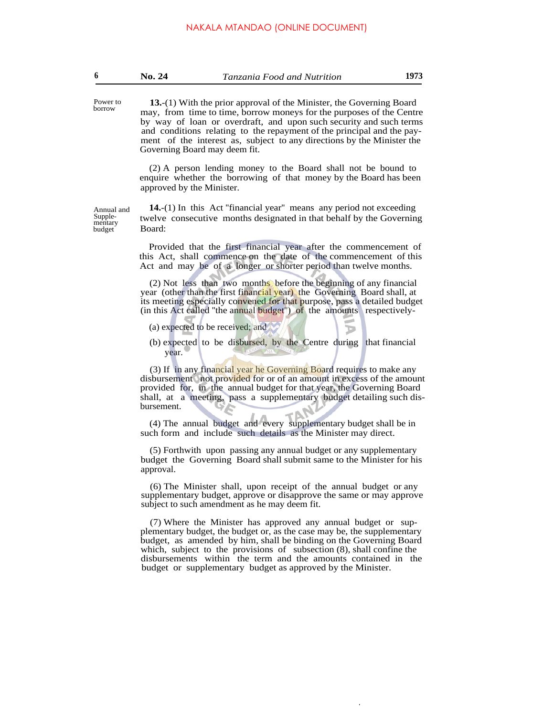**13.**-(1) With the prior approval of the Minister, the Governing Board may, from time to time, borrow moneys for the purposes of the Centre by way of loan or overdraft, and upon such security and such terms and conditions relating to the repayment of the principal and the payment of the interest as, subject to any directions by the Minister the Governing Board may deem fit.

(2) A person lending money to the Board shall not be bound to enquire whether the borrowing of that money by the Board has been approved by the Minister.

**14.**-(1) In this Act "financial year" means any period not exceeding twelve consecutive months designated in that behalf by the Governing Board:

Provided that the first financial year after the commencement of this Act, shall commence on the date of the commencement of this Act and may be of a longer or shorter period than twelve months.

(2) Not less than two months before the beginning of any financial year (other than the first financial year) the Governing Board shall, at its meeting especially convened for that purpose, pass a detailed budget (in this Act called ''the annual budget'') of the amounts respectively-

(a) expected to be received; and

Power to borrow

Annual and Supplementary budget

> (b) expected to be disbursed, by the Centre during that financial year.

(3) If in any financial year he Governing Board requires to make any disbursement not provided for or of an amount in excess of the amount provided for, in the annual budget for that year, the Governing Board shall, at a meeting, pass a supplementary budget detailing such disbursement.

(4) The annual budget and every supplementary budget shall be in such form and include such details as the Minister may direct.

(5) Forthwith upon passing any annual budget or any supplementary budget the Governing Board shall submit same to the Minister for his approval.

(6) The Minister shall, upon receipt of the annual budget or any supplementary budget, approve or disapprove the same or may approve subject to such amendment as he may deem fit.

(7) Where the Minister has approved any annual budget or supplementary budget, the budget or, as the case may be, the supplementary budget, as amended by him, shall be binding on the Governing Board which, subject to the provisions of subsection (8), shall confine the disbursements within the term and the amounts contained in the budget or supplementary budget as approved by the Minister.

.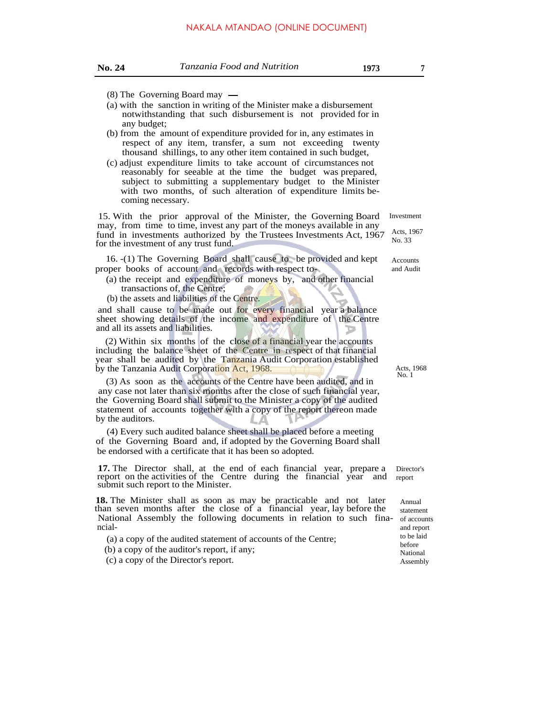- (8) The Governing Board may
- (a) with the sanction in writing of the Minister make a disbursement notwithstanding that such disbursement is not provided for in any budget;
- (b) from the amount of expenditure provided for in, any estimates in respect of any item, transfer, a sum not exceeding twenty thousand shillings, to any other item contained in such budget,
- (c) adjust expenditure limits to take account of circumstances not reasonably for seeable at the time the budget was prepared, subject to submitting a supplementary budget to the Minister with two months, of such alteration of expenditure limits becoming necessary.

15. With the prior approval of the Minister, the Governing Board may, from time to time, invest any part of the moneys available in any fund in investments authorized by the Trustees Investments Act, 1967 for the investment of any trust fund. Investment

16. -(1) The Governing Board shall cause to be provided and kept proper books of account and records with respect to-

(a) the receipt and expenditure of moneys by, and other financial transactions of, the Centre;

(b) the assets and liabilities of the Centre.

and shall cause to be made out for every financial year a balance sheet showing details of the income and expenditure of the Centre and all its assets and liabilities.

(2) Within six months of the close of a financial year the accounts including the balance sheet of the Centre in respect of that financial year shall be audited by the Tanzania Audit Corporation established by the Tanzania Audit Corporation Act, 1968.

(3) As soon as the accounts of the Centre have been audited, and in any case not later than six months after the close of such financial year, the Governing Board shall submit to the Minister a copy of the audited statement of accounts together with a copy of the report thereon made by the auditors.

(4) Every such audited balance sheet shall be placed before a meeting of the Governing Board and, if adopted by the Governing Board shall be endorsed with a certificate that it has been so adopted.

**17.** The Director shall, at the end of each financial year, prepare a report on the activities of the Centre during the financial year and submit such report to the Minister.

**18.** The Minister shall as soon as may be practicable and not later than seven months after the close of a financial year, lay before the National Assembly the following documents in relation to such fina- of accounts ncial-

- (a) a copy of the audited statement of accounts of the Centre;
- (b) a copy of the auditor's report, if any; (c) a copy of the Director's report. Assembly

Acts, 1967 No. 33

Accounts and Audit

Acts, 1968<br>No. 1

Director's report

> Annual statement and report to be laid before National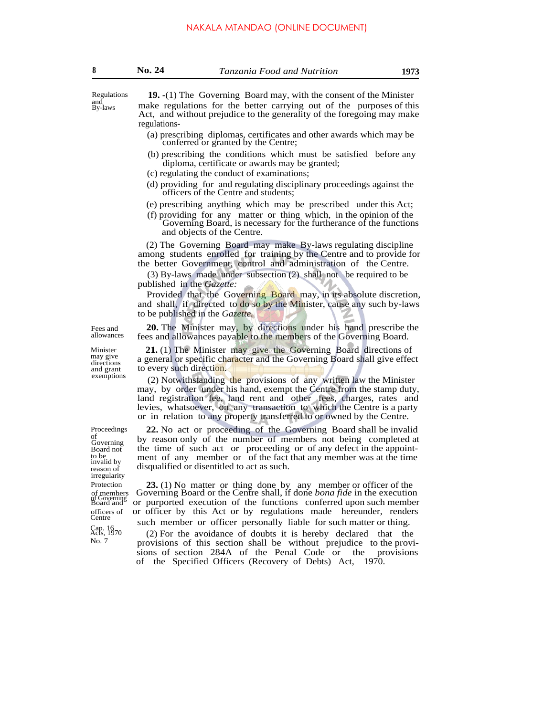Regulations and By-laws

**19. -**(1) The Governing Board may, with the consent of the Minister make regulations for the better carrying out of the purposes of this Act, and without prejudice to the generality of the foregoing may make regulations-

- (a) prescribing diplomas, certificates and other awards which may be conferred or granted by the Centre;
- (b) prescribing the conditions which must be satisfied before any diploma, certificate or awards may be granted;
- (c) regulating the conduct of examinations;
- (d) providing for and regulating disciplinary proceedings against the officers of the Centre and students;
- (e) prescribing anything which may be prescribed under this Act;
- (f) providing for any matter or thing which, in the opinion of the Governing Board, is necessary for the furtherance of the functions and objects of the Centre.

(2) The Governing Board may make By-laws regulating discipline among students enrolled for training by the Centre and to provide for the better Government, control and administration of the Centre.

(3) By-laws made under subsection (2) shall not be required to be published in the *Gazette:*

Provided that the Governing Board may, in its absolute discretion, and shall, if directed to do so by the Minister, cause any such by-laws to be published in the *Gazette.*

**20.** The Minister may, by directions under his hand prescribe the fees and allowances payable to the members of the Governing Board.

**21.** (1) The Minister may give the Governing Board directions of a general or specific character and the Governing Board shall give effect to every such direction.

 $(2)$  Notwithstanding the provisions of any written law the Minister may, by order under his hand, exempt the Centre from the stamp duty, land registration fee, land rent and other fees, charges, rates and levies, whatsoever, on any transaction to which the Centre is a party or in relation to any property transferred to or owned by the Centre.

**22.** No act or proceeding of the Governing Board shall be invalid by reason only of the number of members not being completed at the time of such act or proceeding or of any defect in the appointment of any member or of the fact that any member was at the time disqualified or disentitled to act as such.

**23.** (1) No matter or thing done by any member or officer of the of members Governing Board or the Centre shall, if done *bona fide* in the execution or purported execution of the functions conferred upon such member officers of or officer by this Act or by regulations made hereunder, renders Centre such member or officer personally liable for such matter or thing.

> (2) For the avoidance of doubts it is hereby declared that the provisions of this section shall be without prejudice to the provisions of section 284A of the Penal Code or the provisions of the Specified Officers (Recovery of Debts) Act, 1970.

Proceedings of Governing Board not to be invalid by reason of irregularity Protection of members<br>of Governing<br>Board and

Cap. 16 Acts, 1970 No. 7

Fees and allowances

Minister may give directions and grant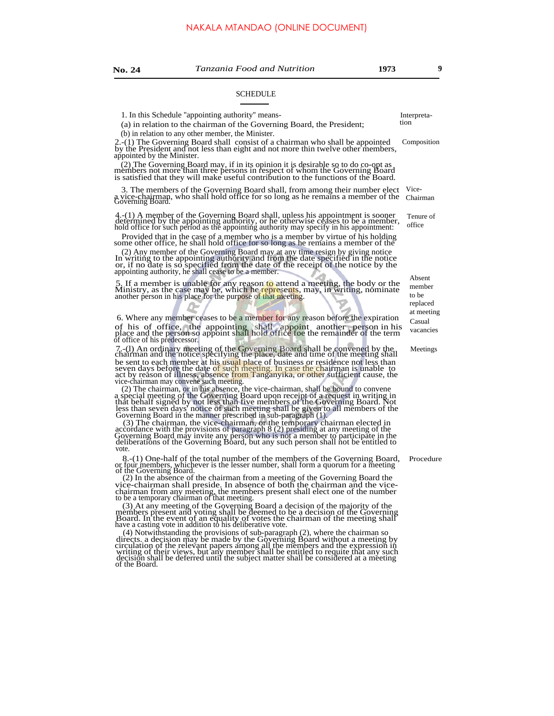#### SCHEDULE

1. In this Schedule "appointing authority" means-<br>(a) in relation to the chairman of the Gaussine Board, the Presidenty tion

 $(a)$  in relation to the chairman of the Governing Board, the President;

(b) in relation to any other member, the Minister.

2.-(1) The Governing Board shall consist of a chairman who shall be appointed by the President and not less than eight and not more thin twelve other members, appointed by the Minister.

(2) The Governing Board may, if in its opinion it is desirable so to do co-opt as members not more than three persons in respect of whom the Governing Board is satisfied that they will make useful contribution to the functions of the Board.

3. The members of the Governing Board shall, from among their number elect Vicea vice-chairman, who shall hold office for so long as he remains a member of the Governing Board.

4.-(1) A member of the Governing Board shall, unless his appointment is sooner determined by the appointing authority, or he otherwise ceases to be a member, hold office for such period as the appointing authority may spec

Provided that in the case of a member who is a member by virtue of his holding some other office, he shall hold office for so long as he remains a member of the

(2) Any member of the Governing Board may at any time resign by giving notice In writing to the appointing authority and from the date specified in the notice or, if no date is so specified from the date of the receipt of the notice by the appointing authority, he shall cease to be a member.

5. If a member is unable for any reason to attend a meeting, the body or the Ministry, as the case may be, which he represents, may, in writing, nominate another person in his place for the purpose of that meeting.

6. Where any member ceases to be a member for any reason before the expiration of his of office, the appointing shall appoint another person in his place and the person so appoint shall hold office foe the remainder of the term of office of his predecessor.

7.-(l) An ordinary meeting of the Governing Board shall be convened by the chairman and the notice specifying the place, date and time of the meeting shall be sent to each member at his usual place of business or residence not less than<br>seven days before the date of such meeting. In case the chairman is unable to<br>act by reason of illness, absence from Tanganyika, or other suf

(2) The chairman, or in his absence, the vice-chairman, shall be bound to convene<br>a special meeting of the Governing Board upon receipt of a request in writing in<br>that behalf signed by not less than five members of the Go

8.-(1) One-half of the total number of the members of the Governing Board, Procedure or four members, whichever is the lesser number, shall form a quorum for a meeting of the Governing Board.

(2) In the absence of the chairman from a meeting of the Governing Board the vice-chairman shall preside. In absence of both the chairman and the vice-chairman from any meeting, the members present shall elect one of the n

(3) At any meeting of the Governing Board a decision of the majority of the members present and voting shall be deemed to be a decision of the Governing Board. In the event of an equality of votes the chairman of the meeti

 $(4)$  Notwithstanding the provisions of sub-paragraph  $(2)$ , where the chairman so directs. a decision may be made by the Governing Board without a meeting by circulation of the relevant papers among all the members and t of the Board.

Composition

Chairman

Tenure of office

> Absent member to be replaced at meeting Casual vacancies

**Meetings**